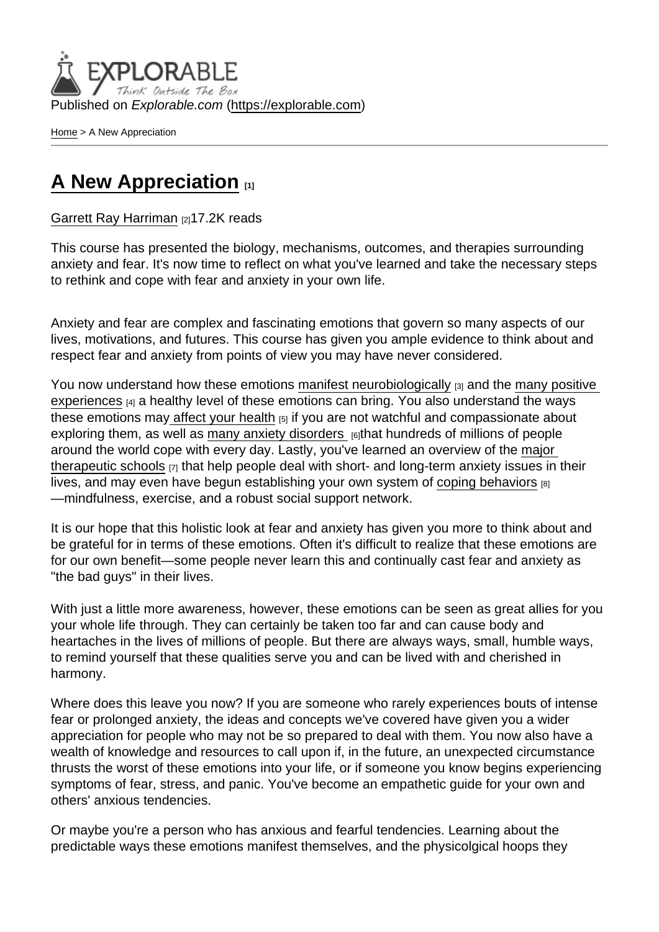Published on Explorable.com (<https://explorable.com>)

[Home](https://explorable.com/) > A New Appreciation

## [A New Appreciation](https://explorable.com/e/a-new-appreciation) [1]

[Garrett Ray Harriman](https://explorable.com/users/grharriman) [2]17.2K reads

This course has presented the biology, mechanisms, outcomes, and therapies surrounding anxiety and fear. It's now time to reflect on what you've learned and take the necessary steps to rethink and cope with fear and anxiety in your own life.

Anxiety and fear are complex and fascinating emotions that govern so many aspects of our lives, motivations, and futures. This course has given you ample evidence to think about and respect fear and anxiety from points of view you may have never considered.

You now understand how these emotions [manifest neurobiologically](https://explorable.com/fear-anxiety-the-brain-physiology)  $\beta$  and the many positive [experiences](https://explorable.com/are-anxiety-fear-bad-things)  $[4]$  a healthy level of these emotions can bring. You also understand the ways these emotions ma[y affect your health](https://explorable.com/the-physical-psychological-risks-of-anxiety)  $_{[5]}$  if you are not watchful and compassionate about exploring them, as well as [many anxiety disorders](https://explorable.com/common-anxiety-disorders)  $_{[6]}$ that hundreds of millions of people around the world cope with every day. Lastly, you've learned an overview of the [major](https://explorable.com/therapies-for-anxiety)  [therapeutic schools](https://explorable.com/therapies-for-anxiety)  $_{[7]}$  that help people deal with short- and long-term anxiety issues in their lives, and may even have begun establishing your own system of [coping behaviors](https://explorable.com/coping-acceptance)  $[8]$ —mindfulness, exercise, and a robust social support network.

It is our hope that this holistic look at fear and anxiety has given you more to think about and be grateful for in terms of these emotions. Often it's difficult to realize that these emotions are for our own benefit—some people never learn this and continually cast fear and anxiety as "the bad guys" in their lives.

With just a little more awareness, however, these emotions can be seen as great allies for you your whole life through. They can certainly be taken too far and can cause body and heartaches in the lives of millions of people. But there are always ways, small, humble ways, to remind yourself that these qualities serve you and can be lived with and cherished in harmony.

Where does this leave you now? If you are someone who rarely experiences bouts of intense fear or prolonged anxiety, the ideas and concepts we've covered have given you a wider appreciation for people who may not be so prepared to deal with them. You now also have a wealth of knowledge and resources to call upon if, in the future, an unexpected circumstance thrusts the worst of these emotions into your life, or if someone you know begins experiencing symptoms of fear, stress, and panic. You've become an empathetic guide for your own and others' anxious tendencies.

Or maybe you're a person who has anxious and fearful tendencies. Learning about the predictable ways these emotions manifest themselves, and the physicolgical hoops they